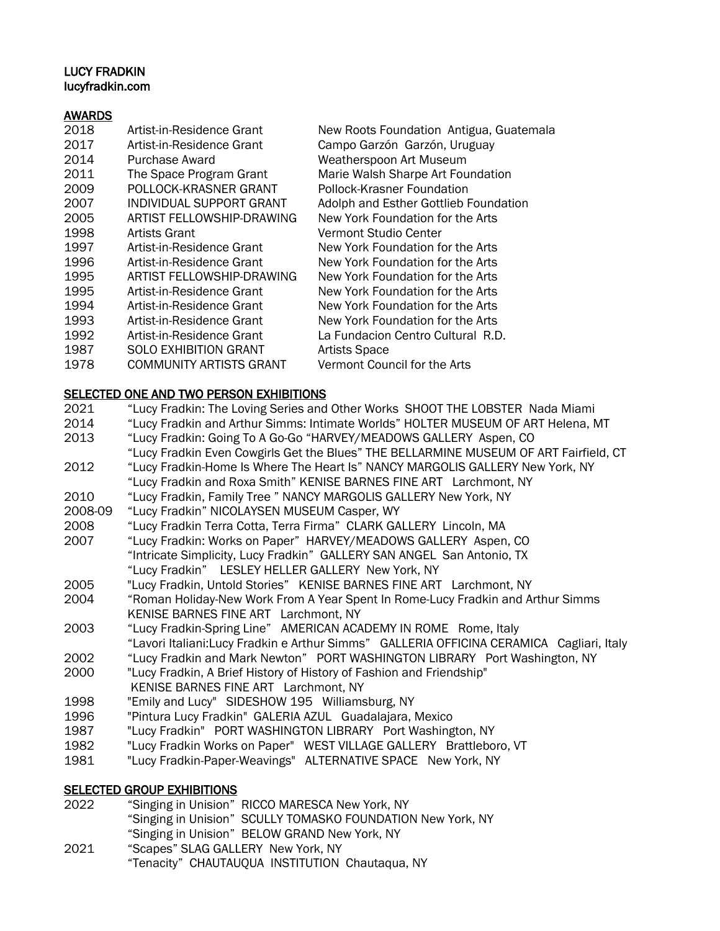## LUCY FRADKIN lucyfradkin.com

## AWARDS

| 2018 | Artist-in-Residence Grant      | New Roots Foundation Antigua, Guatemala |
|------|--------------------------------|-----------------------------------------|
| 2017 | Artist-in-Residence Grant      | Campo Garzón Garzón, Uruguay            |
| 2014 | Purchase Award                 | Weatherspoon Art Museum                 |
| 2011 | The Space Program Grant        | Marie Walsh Sharpe Art Foundation       |
| 2009 | POLLOCK-KRASNER GRANT          | Pollock-Krasner Foundation              |
| 2007 | INDIVIDUAL SUPPORT GRANT       | Adolph and Esther Gottlieb Foundation   |
| 2005 | ARTIST FELLOWSHIP-DRAWING      | New York Foundation for the Arts        |
| 1998 | Artists Grant                  | Vermont Studio Center                   |
| 1997 | Artist-in-Residence Grant      | New York Foundation for the Arts        |
| 1996 | Artist-in-Residence Grant      | New York Foundation for the Arts        |
| 1995 | ARTIST FELLOWSHIP-DRAWING      | New York Foundation for the Arts        |
| 1995 | Artist-in-Residence Grant      | New York Foundation for the Arts        |
| 1994 | Artist-in-Residence Grant      | New York Foundation for the Arts        |
| 1993 | Artist-in-Residence Grant      | New York Foundation for the Arts        |
| 1992 | Artist-in-Residence Grant      | La Fundacion Centro Cultural R.D.       |
| 1987 | <b>SOLO EXHIBITION GRANT</b>   | <b>Artists Space</b>                    |
| 1978 | <b>COMMUNITY ARTISTS GRANT</b> | Vermont Council for the Arts            |
|      |                                |                                         |

### SELECTED ONE AND TWO PERSON EXHIBITIONS

- 2021 "Lucy Fradkin: The Loving Series and Other Works SHOOT THE LOBSTER Nada Miami 2014 "Lucy Fradkin and Arthur Simms: Intimate Worlds" HOLTER MUSEUM OF ART Helena, MT 2013 "Lucy Fradkin: Going To A Go-Go "HARVEY/MEADOWS GALLERY Aspen, CO "Lucy Fradkin Even Cowgirls Get the Blues" THE BELLARMINE MUSEUM OF ART Fairfield, CT 2012 "Lucy Fradkin-Home Is Where The Heart Is" NANCY MARGOLIS GALLERY New York, NY "Lucy Fradkin and Roxa Smith" KENISE BARNES FINE ART Larchmont, NY 2010 "Lucy Fradkin, Family Tree " NANCY MARGOLIS GALLERY New York, NY 2008-09 "Lucy Fradkin" NICOLAYSEN MUSEUM Casper, WY 2008 "Lucy Fradkin Terra Cotta, Terra Firma" CLARK GALLERY Lincoln, MA 2007 "Lucy Fradkin: Works on Paper" HARVEY/MEADOWS GALLERY Aspen, CO "Intricate Simplicity, Lucy Fradkin" GALLERY SAN ANGEL San Antonio, TX "Lucy Fradkin" LESLEY HELLER GALLERY New York, NY 2005 "Lucy Fradkin, Untold Stories" KENISE BARNES FINE ART Larchmont, NY 2004 "Roman Holiday-New Work From A Year Spent In Rome-Lucy Fradkin and Arthur Simms KENISE BARNES FINE ART Larchmont, NY 2003 "Lucy Fradkin-Spring Line" AMERICAN ACADEMY IN ROME Rome, Italy "Lavori Italiani:Lucy Fradkin e Arthur Simms" GALLERIA OFFICINA CERAMICA Cagliari, Italy 2002 "Lucy Fradkin and Mark Newton" PORT WASHINGTON LIBRARY Port Washington, NY 2000 "Lucy Fradkin, A Brief History of History of Fashion and Friendship"
- KENISE BARNES FINE ART Larchmont, NY
- 1998 "Emily and Lucy" SIDESHOW 195 Williamsburg, NY
- 1996 "Pintura Lucy Fradkin" GALERIA AZUL Guadalajara, Mexico
- 1987 "Lucy Fradkin" PORT WASHINGTON LIBRARY Port Washington, NY
- 1982 "Lucy Fradkin Works on Paper" WEST VILLAGE GALLERY Brattleboro, VT
- 1981 "Lucy Fradkin-Paper-Weavings" ALTERNATIVE SPACE New York, NY

# **SELECTED GROUP EXHIBITIONS**

- 2022 "Singing in Unision" RICCO MARESCA New York, NY "Singing in Unision" SCULLY TOMASKO FOUNDATION New York, NY "Singing in Unision" BELOW GRAND New York, NY 2021 "Scapes" SLAG GALLERY New York, NY
	- "Tenacity" CHAUTAUQUA INSTITUTION Chautaqua, NY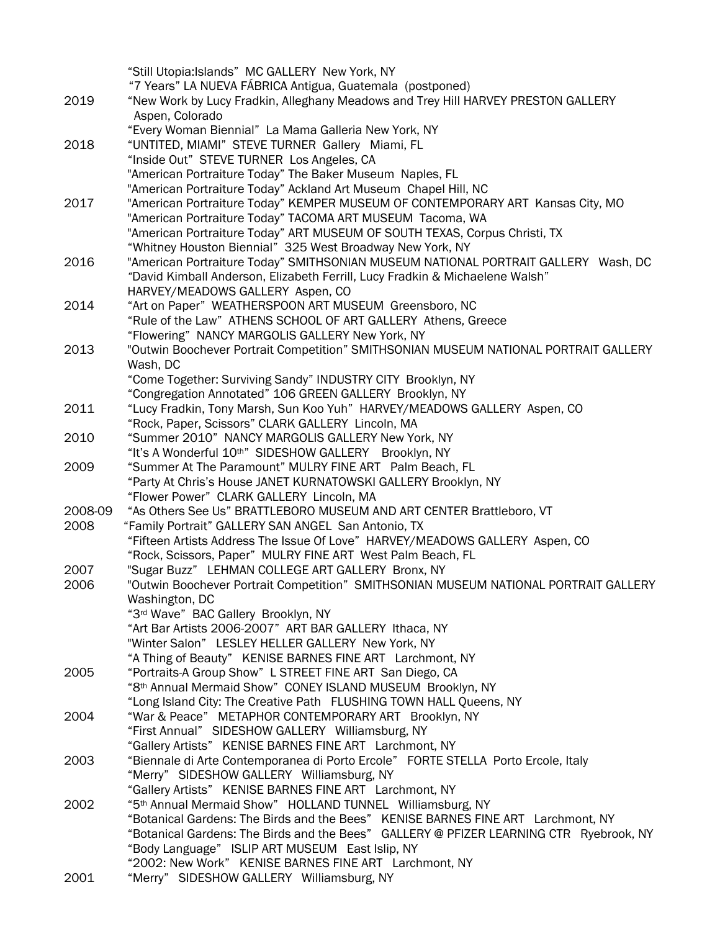|         | "Still Utopia: Islands" MC GALLERY New York, NY                                        |
|---------|----------------------------------------------------------------------------------------|
|         | "7 Years" LA NUEVA FÁBRICA Antigua, Guatemala (postponed)                              |
| 2019    | "New Work by Lucy Fradkin, Alleghany Meadows and Trey Hill HARVEY PRESTON GALLERY      |
|         | Aspen, Colorado                                                                        |
|         | "Every Woman Biennial" La Mama Galleria New York, NY                                   |
| 2018    | "UNTITED, MIAMI" STEVE TURNER Gallery Miami, FL                                        |
|         | "Inside Out" STEVE TURNER Los Angeles, CA                                              |
|         | "American Portraiture Today" The Baker Museum Naples, FL                               |
|         | "American Portraiture Today" Ackland Art Museum Chapel Hill, NC                        |
| 2017    | "American Portraiture Today" KEMPER MUSEUM OF CONTEMPORARY ART Kansas City, MO         |
|         | "American Portraiture Today" TACOMA ART MUSEUM Tacoma, WA                              |
|         | "American Portraiture Today" ART MUSEUM OF SOUTH TEXAS, Corpus Christi, TX             |
|         | "Whitney Houston Biennial" 325 West Broadway New York, NY                              |
| 2016    | "American Portraiture Today" SMITHSONIAN MUSEUM NATIONAL PORTRAIT GALLERY Wash, DC     |
|         | "David Kimball Anderson, Elizabeth Ferrill, Lucy Fradkin & Michaelene Walsh"           |
|         | HARVEY/MEADOWS GALLERY Aspen, CO                                                       |
| 2014    | "Art on Paper" WEATHERSPOON ART MUSEUM Greensboro, NC                                  |
|         | "Rule of the Law" ATHENS SCHOOL OF ART GALLERY Athens, Greece                          |
|         | "Flowering" NANCY MARGOLIS GALLERY New York, NY                                        |
| 2013    | "Outwin Boochever Portrait Competition" SMITHSONIAN MUSEUM NATIONAL PORTRAIT GALLERY   |
|         | Wash, DC                                                                               |
|         | "Come Together: Surviving Sandy" INDUSTRY CITY Brooklyn, NY                            |
|         | "Congregation Annotated" 106 GREEN GALLERY Brooklyn, NY                                |
| 2011    | "Lucy Fradkin, Tony Marsh, Sun Koo Yuh" HARVEY/MEADOWS GALLERY Aspen, CO               |
|         | "Rock, Paper, Scissors" CLARK GALLERY Lincoln, MA                                      |
| 2010    | "Summer 2010" NANCY MARGOLIS GALLERY New York, NY                                      |
|         | "It's A Wonderful 10th" SIDESHOW GALLERY Brooklyn, NY                                  |
| 2009    | "Summer At The Paramount" MULRY FINE ART Palm Beach, FL                                |
|         | "Party At Chris's House JANET KURNATOWSKI GALLERY Brooklyn, NY                         |
|         | "Flower Power" CLARK GALLERY Lincoln, MA                                               |
| 2008-09 | "As Others See Us" BRATTLEBORO MUSEUM AND ART CENTER Brattleboro, VT                   |
| 2008    | "Family Portrait" GALLERY SAN ANGEL San Antonio, TX                                    |
|         | "Fifteen Artists Address The Issue Of Love" HARVEY/MEADOWS GALLERY Aspen, CO           |
|         | "Rock, Scissors, Paper" MULRY FINE ART West Palm Beach, FL                             |
| 2007    | "Sugar Buzz" LEHMAN COLLEGE ART GALLERY Bronx, NY                                      |
| 2006    | "Outwin Boochever Portrait Competition" SMITHSONIAN MUSEUM NATIONAL PORTRAIT GALLERY   |
|         | Washington, DC                                                                         |
|         | "3rd Wave" BAC Gallery Brooklyn, NY                                                    |
|         | "Art Bar Artists 2006-2007" ART BAR GALLERY Ithaca, NY                                 |
|         |                                                                                        |
|         | "Winter Salon" LESLEY HELLER GALLERY New York, NY                                      |
|         | "A Thing of Beauty" KENISE BARNES FINE ART Larchmont, NY                               |
| 2005    | "Portraits-A Group Show" L STREET FINE ART San Diego, CA                               |
|         | "8th Annual Mermaid Show" CONEY ISLAND MUSEUM Brooklyn, NY                             |
|         | "Long Island City: The Creative Path FLUSHING TOWN HALL Queens, NY                     |
| 2004    | "War & Peace" METAPHOR CONTEMPORARY ART Brooklyn, NY                                   |
|         | "First Annual" SIDESHOW GALLERY Williamsburg, NY                                       |
|         | "Gallery Artists" KENISE BARNES FINE ART Larchmont, NY                                 |
| 2003    | "Biennale di Arte Contemporanea di Porto Ercole" FORTE STELLA Porto Ercole, Italy      |
|         | "Merry" SIDESHOW GALLERY Williamsburg, NY                                              |
|         | "Gallery Artists" KENISE BARNES FINE ART Larchmont, NY                                 |
| 2002    | "5th Annual Mermaid Show" HOLLAND TUNNEL Williamsburg, NY                              |
|         | "Botanical Gardens: The Birds and the Bees" KENISE BARNES FINE ART Larchmont, NY       |
|         | "Botanical Gardens: The Birds and the Bees" GALLERY @ PFIZER LEARNING CTR Ryebrook, NY |
|         | "Body Language" ISLIP ART MUSEUM East Islip, NY                                        |
|         | "2002: New Work" KENISE BARNES FINE ART Larchmont, NY                                  |
| 2001    | "Merry" SIDESHOW GALLERY Williamsburg, NY                                              |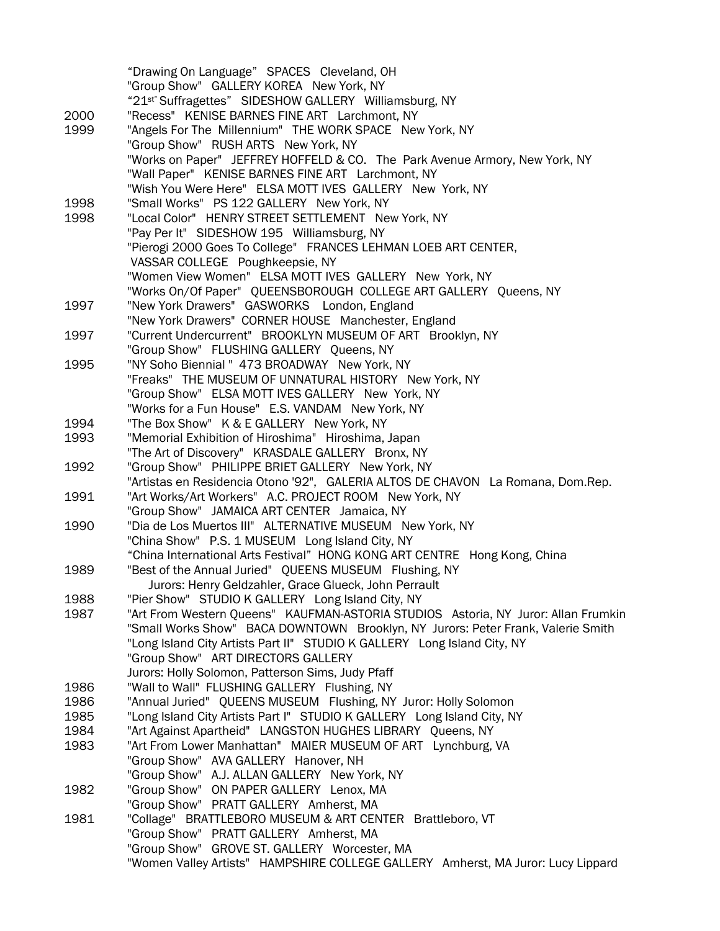"Drawing On Language" SPACES Cleveland, OH "Group Show" GALLERY KOREA New York, NY "21st" Suffragettes" SIDESHOW GALLERY Williamsburg, NY 2000 "Recess" KENISE BARNES FINE ART Larchmont, NY 1999 "Angels For The Millennium" THE WORK SPACE New York, NY "Group Show" RUSH ARTS New York, NY "Works on Paper" JEFFREY HOFFELD & CO. The Park Avenue Armory, New York, NY "Wall Paper" KENISE BARNES FINE ART Larchmont, NY "Wish You Were Here" ELSA MOTT IVES GALLERY New York, NY 1998 "Small Works" PS 122 GALLERY New York, NY 1998 "Local Color" HENRY STREET SETTLEMENT New York, NY "Pay Per It" SIDESHOW 195 Williamsburg, NY "Pierogi 2000 Goes To College" FRANCES LEHMAN LOEB ART CENTER, VASSAR COLLEGE Poughkeepsie, NY "Women View Women" ELSA MOTT IVES GALLERY New York, NY "Works On/Of Paper" QUEENSBOROUGH COLLEGE ART GALLERY Queens, NY 1997 "New York Drawers" GASWORKS London, England "New York Drawers" CORNER HOUSE Manchester, England 1997 "Current Undercurrent" BROOKLYN MUSEUM OF ART Brooklyn, NY "Group Show" FLUSHING GALLERY Queens, NY 1995 "NY Soho Biennial " 473 BROADWAY New York, NY "Freaks" THE MUSEUM OF UNNATURAL HISTORY New York, NY "Group Show" ELSA MOTT IVES GALLERY New York, NY "Works for a Fun House" E.S. VANDAM New York, NY 1994 "The Box Show" K & E GALLERY New York, NY 1993 "Memorial Exhibition of Hiroshima" Hiroshima, Japan "The Art of Discovery" KRASDALE GALLERY Bronx, NY 1992 "Group Show" PHILIPPE BRIET GALLERY New York, NY "Artistas en Residencia Otono '92", GALERIA ALTOS DE CHAVON La Romana, Dom.Rep. 1991 "Art Works/Art Workers" A.C. PROJECT ROOM New York, NY "Group Show" JAMAICA ART CENTER Jamaica, NY 1990 "Dia de Los Muertos III" ALTERNATIVE MUSEUM New York, NY "China Show" P.S. 1 MUSEUM Long Island City, NY "China International Arts Festival" HONG KONG ART CENTRE Hong Kong, China 1989 "Best of the Annual Juried" QUEENS MUSEUM Flushing, NY Jurors: Henry Geldzahler, Grace Glueck, John Perrault 1988 "Pier Show" STUDIO K GALLERY Long Island City, NY 1987 "Art From Western Queens" KAUFMAN-ASTORIA STUDIOS Astoria, NY Juror: Allan Frumkin "Small Works Show" BACA DOWNTOWN Brooklyn, NY Jurors: Peter Frank, Valerie Smith "Long Island City Artists Part II" STUDIO K GALLERY Long Island City, NY "Group Show" ART DIRECTORS GALLERY Jurors: Holly Solomon, Patterson Sims, Judy Pfaff 1986 "Wall to Wall" FLUSHING GALLERY Flushing, NY 1986 "Annual Juried" QUEENS MUSEUM Flushing, NY Juror: Holly Solomon 1985 "Long Island City Artists Part I" STUDIO K GALLERY Long Island City, NY 1984 "Art Against Apartheid" LANGSTON HUGHES LIBRARY Queens, NY 1983 "Art From Lower Manhattan" MAIER MUSEUM OF ART Lynchburg, VA "Group Show" AVA GALLERY Hanover, NH "Group Show" A.J. ALLAN GALLERY New York, NY 1982 "Group Show" ON PAPER GALLERY Lenox, MA "Group Show" PRATT GALLERY Amherst, MA 1981 "Collage" BRATTLEBORO MUSEUM & ART CENTER Brattleboro, VT "Group Show" PRATT GALLERY Amherst, MA "Group Show" GROVE ST. GALLERY Worcester, MA "Women Valley Artists" HAMPSHIRE COLLEGE GALLERY Amherst, MA Juror: Lucy Lippard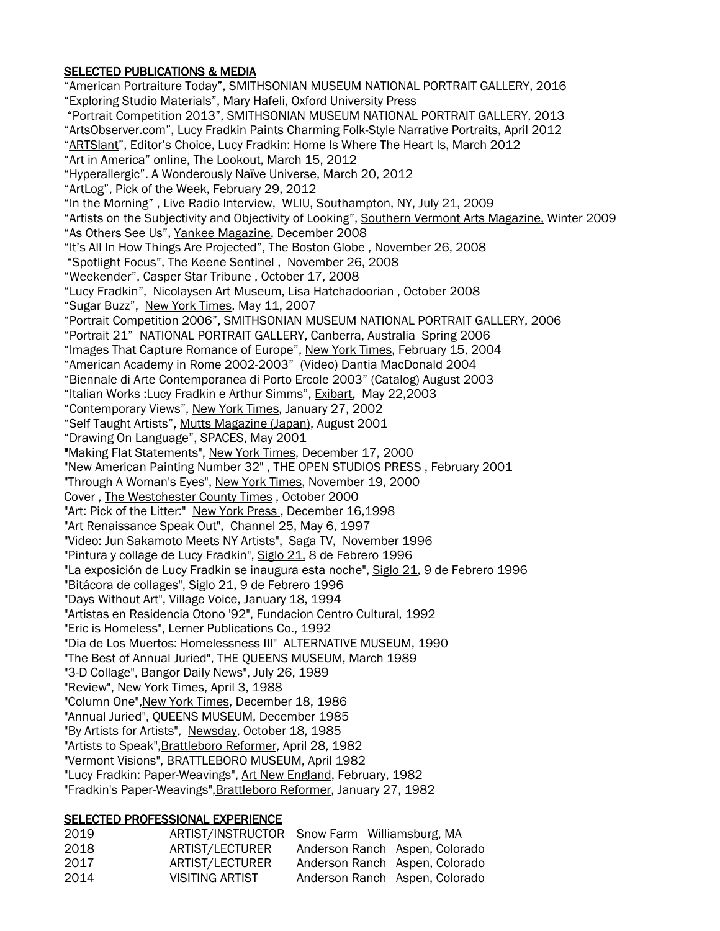### SELECTED PUBLICATIONS & MEDIA

"American Portraiture Today", SMITHSONIAN MUSEUM NATIONAL PORTRAIT GALLERY, 2016 "Exploring Studio Materials", Mary Hafeli, Oxford University Press "Portrait Competition 2013", SMITHSONIAN MUSEUM NATIONAL PORTRAIT GALLERY, 2013 "ArtsObserver.com", Lucy Fradkin Paints Charming Folk-Style Narrative Portraits, April 2012 "ARTSlant", Editor's Choice, Lucy Fradkin: Home Is Where The Heart Is, March 2012 "Art in America" online, The Lookout, March 15, 2012 "Hyperallergic". A Wonderously Naïve Universe, March 20, 2012 "ArtLog", Pick of the Week, February 29, 2012 "In the Morning" , Live Radio Interview, WLIU, Southampton, NY, July 21, 2009 "Artists on the Subjectivity and Objectivity of Looking", Southern Vermont Arts Magazine, Winter 2009 "As Others See Us", Yankee Magazine, December 2008 "It's All In How Things Are Projected", The Boston Globe , November 26, 2008 "Spotlight Focus", The Keene Sentinel , November 26, 2008 "Weekender", Casper Star Tribune , October 17, 2008 "Lucy Fradkin", Nicolaysen Art Museum, Lisa Hatchadoorian , October 2008 "Sugar Buzz", New York Times, May 11, 2007 "Portrait Competition 2006", SMITHSONIAN MUSEUM NATIONAL PORTRAIT GALLERY, 2006 "Portrait 21" NATIONAL PORTRAIT GALLERY, Canberra, Australia Spring 2006 "Images That Capture Romance of Europe", New York Times, February 15, 2004 "American Academy in Rome 2002-2003" (Video) Dantia MacDonald 2004 "Biennale di Arte Contemporanea di Porto Ercole 2003" (Catalog) August 2003 "Italian Works :Lucy Fradkin e Arthur Simms", Exibart, May 22,2003 "Contemporary Views", New York Times, January 27, 2002 "Self Taught Artists", Mutts Magazine (Japan), August 2001 "Drawing On Language", SPACES, May 2001 "Making Flat Statements", New York Times, December 17, 2000 "New American Painting Number 32" , THE OPEN STUDIOS PRESS , February 2001 "Through A Woman's Eyes", New York Times, November 19, 2000 Cover , The Westchester County Times , October 2000 "Art: Pick of the Litter:" New York Press, December 16,1998 "Art Renaissance Speak Out", Channel 25, May 6, 1997 "Video: Jun Sakamoto Meets NY Artists", Saga TV, November 1996 "Pintura y collage de Lucy Fradkin", Siglo 21, 8 de Febrero 1996 "La exposición de Lucy Fradkin se inaugura esta noche", Siglo 21, 9 de Febrero 1996 "Bitácora de collages", Siglo 21, 9 de Febrero 1996 "Days Without Art", Village Voice, January 18, 1994 "Artistas en Residencia Otono '92", Fundacion Centro Cultural, 1992 "Eric is Homeless", Lerner Publications Co., 1992 "Dia de Los Muertos: Homelessness III" ALTERNATIVE MUSEUM, 1990 "The Best of Annual Juried", THE QUEENS MUSEUM, March 1989 "3-D Collage", Bangor Daily News", July 26, 1989 "Review", New York Times, April 3, 1988 "Column One", New York Times, December 18, 1986 "Annual Juried", QUEENS MUSEUM, December 1985 "By Artists for Artists", Newsday, October 18, 1985 "Artists to Speak", Brattleboro Reformer, April 28, 1982 "Vermont Visions", BRATTLEBORO MUSEUM, April 1982 "Lucy Fradkin: Paper-Weavings", Art New England, February, 1982 "Fradkin's Paper-Weavings",Brattleboro Reformer, January 27, 1982

#### SELECTED PROFESSIONAL EXPERIENCE

| 2019 | ARTIST/INSTRUCTOR Snow Farm Williamsburg, MA |                                |  |
|------|----------------------------------------------|--------------------------------|--|
| 2018 | ARTIST/LECTURER                              | Anderson Ranch Aspen, Colorado |  |
| 2017 | ARTIST/LECTURER                              | Anderson Ranch Aspen, Colorado |  |
| 2014 | VISITING ARTIST                              | Anderson Ranch Aspen, Colorado |  |